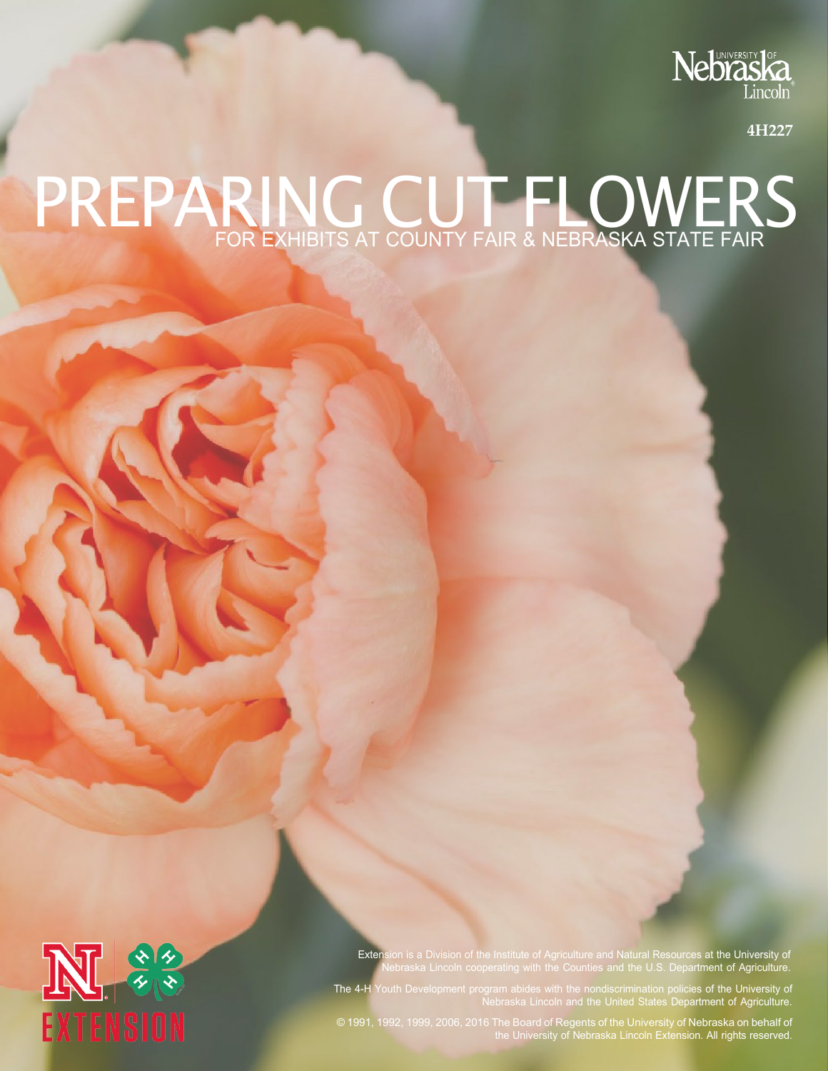

**4H227**

## PREPARING CUT FLOWERS FOR EXHIBITS AT COUNTY FAIR & NEBRASKA STATE FAIR



Extension is a Division of the Institute of Agriculture and Natural Resources at the University of Nebraska Lincoln cooperating with the Counties and the U.S. Department of Agriculture.

The 4-H Youth Development program abides with the nondiscrimination policies of the University of Nebraska Lincoln and the United States Department of Agriculture.

© 1991, 1992, 1999, 2006, 2016 The Board of Regents of the University of Nebraska on behalf of the University of Nebraska Lincoln Extension. All rights reserved.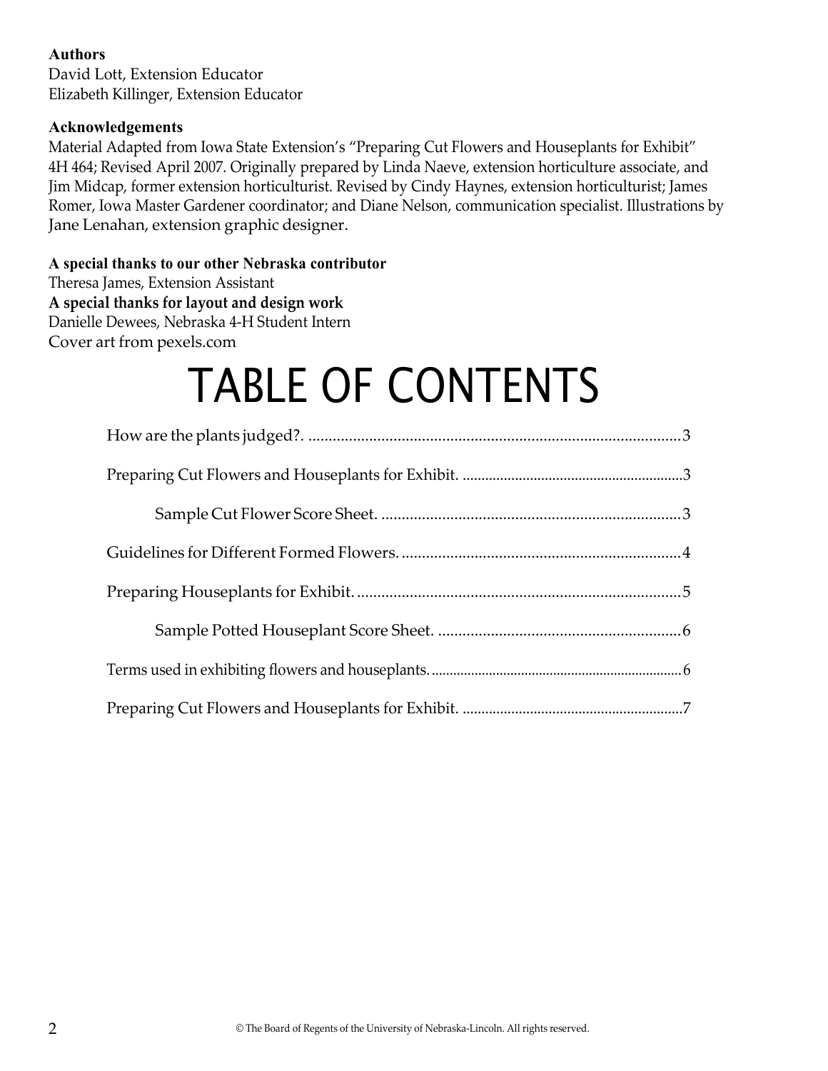#### **Authors**

David Lott, Extension Educator Elizabeth Killinger, Extension Educator

#### **Acknowledgements**

Material Adapted from Iowa State Extension's "Preparing Cut Flowers and Houseplants for Exhibit" 4H 464; Revised April 2007. Originally prepared by Linda Naeve, extension horticulture associate, and Jim Midcap, former extension horticulturist. Revised by Cindy Haynes, extension horticulturist; James Romer, Iowa Master Gardener coordinator; and Diane Nelson, communication specialist. Illustrations by Jane Lenahan, extension graphic designer.

#### **A special thanks to our other Nebraska contributor**

Theresa James, Extension Assistant **A special thanks for layout and design work** Danielle Dewees, Nebraska 4-H Student Intern Cover art from pexels.com

# TABLE OF CONTENTS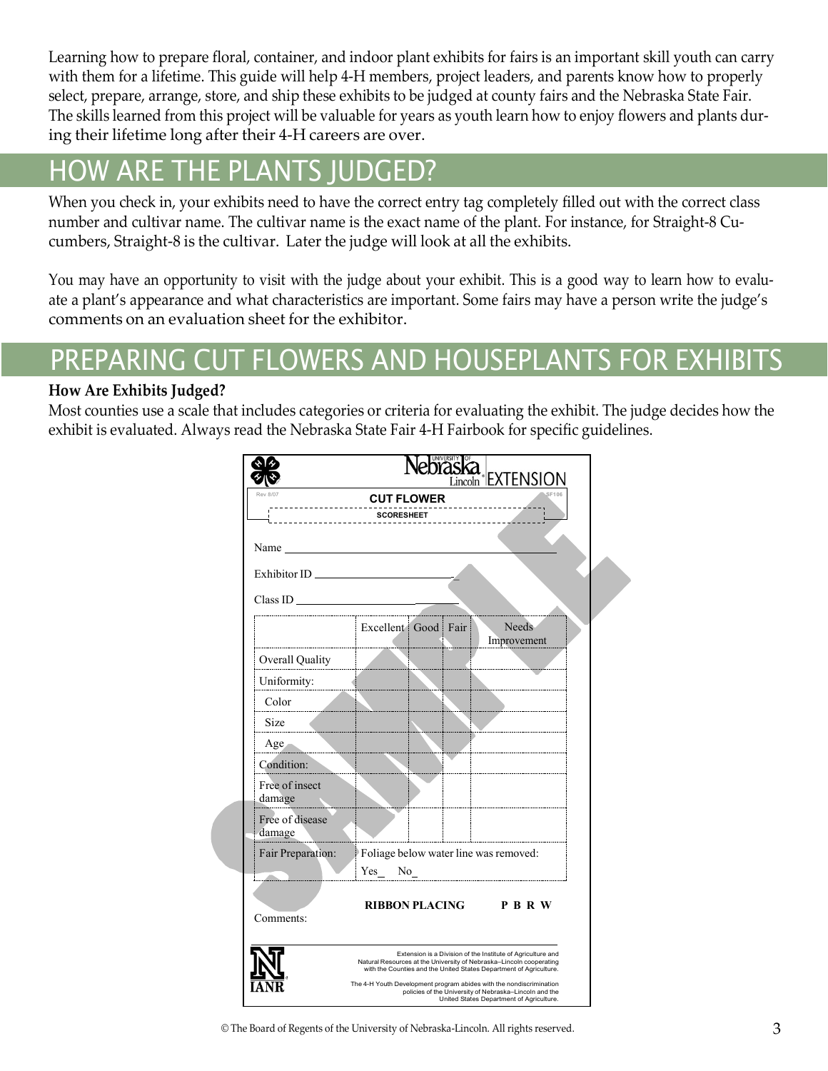Learning how to prepare floral, container, and indoor plant exhibits for fairs is an important skill youth can carry with them for a lifetime. This guide will help 4-H members, project leaders, and parents know how to properly select, prepare, arrange, store, and ship these exhibits to be judged at county fairs and the Nebraska State Fair. The skills learned from this project will be valuable for years as youth learn how to enjoy flowers and plants during their lifetime long after their 4-H careers are over.

### <span id="page-2-0"></span>HOW ARE THE PLANTS JUDGED?

When you check in, your exhibits need to have the correct entry tag completely filled out with the correct class number and cultivar name. The cultivar name is the exact name of the plant. For instance, for Straight-8 Cucumbers, Straight-8 is the cultivar. Later the judge will look at all the exhibits.

You may have an opportunity to visit with the judge about your exhibit. This is a good way to learn how to evaluate a plant's appearance and what characteristics are important. Some fairs may have a person write the judge's comments on an evaluation sheet for the exhibitor.

### PREPARING CUT FLOWERS AND HOUSEPLANTS FOR EXHIBITS

#### **How Are Exhibits Judged?**

Most counties use a scale that includes categories or criteria for evaluating the exhibit. The judge decides how the exhibit is evaluated. Always read the Nebraska State Fair 4-H Fairbook for specific guidelines.

|                                                                                                                                                                                                                                | <b>SCORESHEET</b>                                                                                                     |  |                                                             |
|--------------------------------------------------------------------------------------------------------------------------------------------------------------------------------------------------------------------------------|-----------------------------------------------------------------------------------------------------------------------|--|-------------------------------------------------------------|
|                                                                                                                                                                                                                                |                                                                                                                       |  |                                                             |
| Name was a series of the series of the series of the series of the series of the series of the series of the series of the series of the series of the series of the series of the series of the series of the series of the s |                                                                                                                       |  |                                                             |
| Exhibitor ID                                                                                                                                                                                                                   |                                                                                                                       |  |                                                             |
| $Class ID \_$                                                                                                                                                                                                                  |                                                                                                                       |  |                                                             |
|                                                                                                                                                                                                                                | Excellent Good Fair                                                                                                   |  | <b>Needs</b><br>Improvement                                 |
| Overall Quality                                                                                                                                                                                                                | <u> 2000 - Albany Albany, politik a prima politik a prima prima prima prima prima prima prima prima prima prima p</u> |  |                                                             |
| Uniformity:                                                                                                                                                                                                                    |                                                                                                                       |  |                                                             |
| Color                                                                                                                                                                                                                          | i.<br>. 1                                                                                                             |  |                                                             |
| Size                                                                                                                                                                                                                           |                                                                                                                       |  |                                                             |
| $Age -$                                                                                                                                                                                                                        |                                                                                                                       |  |                                                             |
| Condition:                                                                                                                                                                                                                     |                                                                                                                       |  |                                                             |
| Free of insect<br>damage                                                                                                                                                                                                       |                                                                                                                       |  |                                                             |
| Free of disease<br>damage                                                                                                                                                                                                      |                                                                                                                       |  |                                                             |
| Fair Preparation: Foliage below water line was removed:                                                                                                                                                                        |                                                                                                                       |  |                                                             |
| . <del>.</del>                                                                                                                                                                                                                 | Yes<br>No.                                                                                                            |  |                                                             |
| Comments:                                                                                                                                                                                                                      |                                                                                                                       |  | RIBBON PLACING P B R W                                      |
|                                                                                                                                                                                                                                |                                                                                                                       |  | Extension is a Division of the Institute of Agriculture and |

© The Board of Regents of the University of Nebraska-Lincoln. All rights reserved. 3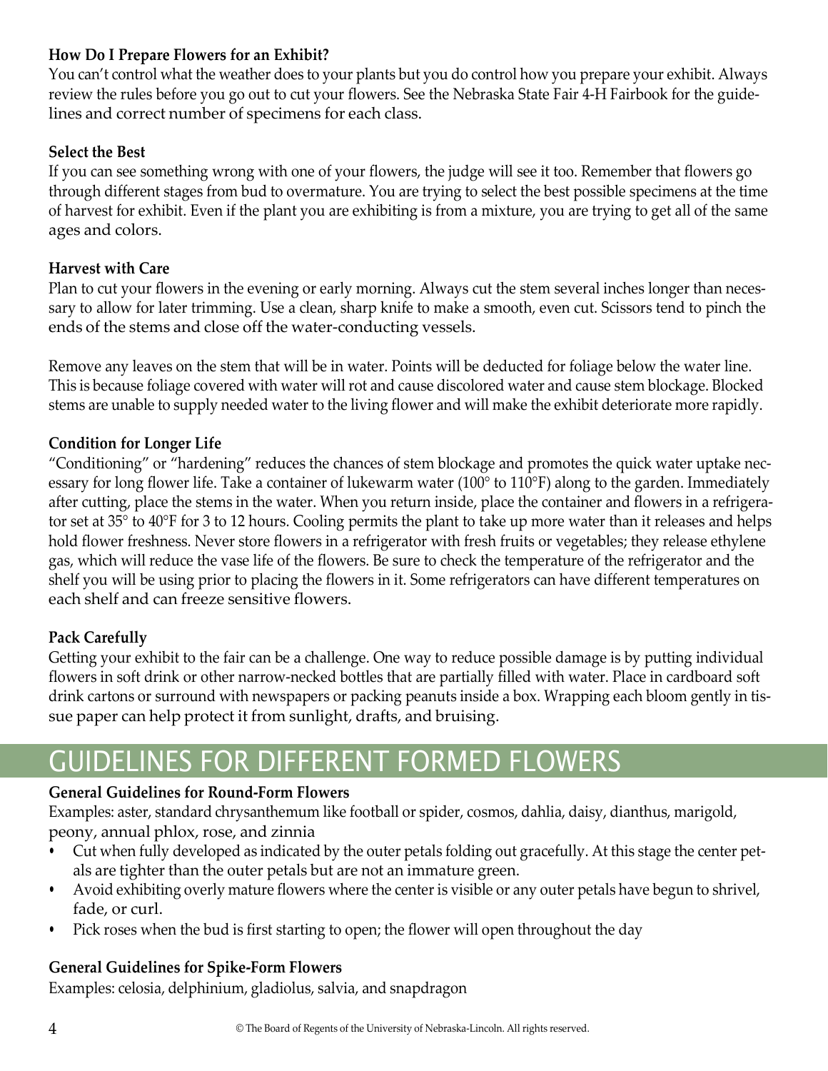#### **How Do I Prepare Flowers for an Exhibit?**

You can't control what the weather does to your plants but you do control how you prepare your exhibit. Always review the rules before you go out to cut your flowers. See the Nebraska State Fair 4-H Fairbook for the guidelines and correct number of specimens for each class.

#### **Select the Best**

If you can see something wrong with one of your flowers, the judge will see it too. Remember that flowers go through different stages from bud to overmature. You are trying to select the best possible specimens at the time of harvest for exhibit. Even if the plant you are exhibiting is from a mixture, you are trying to get all of the same ages and colors.

#### **Harvest with Care**

Plan to cut your flowers in the evening or early morning. Always cut the stem several inches longer than necessary to allow for later trimming. Use a clean, sharp knife to make a smooth, even cut. Scissors tend to pinch the ends of the stems and close off the water-conducting vessels.

Remove any leaves on the stem that will be in water. Points will be deducted for foliage below the water line. This is because foliage covered with water will rot and cause discolored water and cause stem blockage. Blocked stems are unable to supply needed water to the living flower and will make the exhibit deteriorate more rapidly.

#### **Condition for Longer Life**

"Conditioning" or "hardening" reduces the chances of stem blockage and promotes the quick water uptake necessary for long flower life. Take a container of lukewarm water (100° to 110°F) along to the garden. Immediately after cutting, place the stems in the water. When you return inside, place the container and flowers in a refrigerator set at 35° to 40°F for 3 to 12 hours. Cooling permits the plant to take up more water than it releases and helps hold flower freshness. Never store flowers in a refrigerator with fresh fruits or vegetables; they release ethylene gas, which will reduce the vase life of the flowers. Be sure to check the temperature of the refrigerator and the shelf you will be using prior to placing the flowers in it. Some refrigerators can have different temperatures on each shelf and can freeze sensitive flowers.

#### **Pack Carefully**

Getting your exhibit to the fair can be a challenge. One way to reduce possible damage is by putting individual flowers in soft drink or other narrow-necked bottles that are partially filled with water. Place in cardboard soft drink cartons or surround with newspapers or packing peanuts inside a box. Wrapping each bloom gently in tissue paper can help protect it from sunlight, drafts, and bruising.

### GUIDELINES FOR DIFFERENT FORMED FLOWERS

#### **General Guidelines for Round-Form Flowers**

Examples: aster, standard chrysanthemum like football or spider, cosmos, dahlia, daisy, dianthus, marigold, peony, annual phlox, rose, and zinnia

- Cut when fully developed as indicated by the outer petals folding out gracefully. At this stage the center petals are tighter than the outer petals but are not an immature green.
- Avoid exhibiting overly mature flowers where the center is visible or any outer petals have begun to shrivel, fade, or curl.
- Pick roses when the bud is first starting to open; the flower will open throughout the day

#### **General Guidelines for Spike-Form Flowers**

Examples: celosia, delphinium, gladiolus, salvia, and snapdragon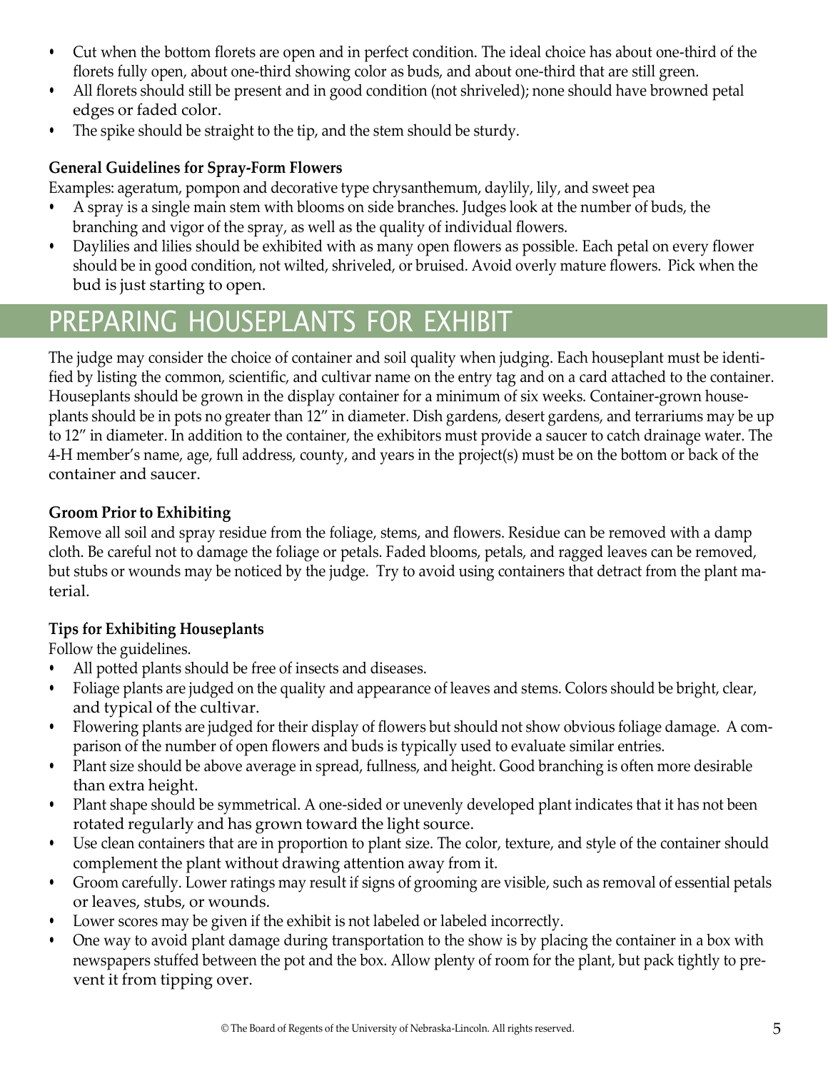- Cut when the bottom florets are open and in perfect condition. The ideal choice has about one-third of the florets fully open, about one-third showing color as buds, and about one-third that are still green.
- All florets should still be present and in good condition (not shriveled); none should have browned petal edges or faded color.
- The spike should be straight to the tip, and the stem should be sturdy.

#### **General Guidelines for Spray-Form Flowers**

Examples: ageratum, pompon and decorative type chrysanthemum, daylily, lily, and sweet pea

- A spray is a single main stem with blooms on side branches. Judges look at the number of buds, the branching and vigor of the spray, as well as the quality of individual flowers.
- Daylilies and lilies should be exhibited with as many open flowers as possible. Each petal on every flower should be in good condition, not wilted, shriveled, or bruised. Avoid overly mature flowers. Pick when the bud is just starting to open.

### PREPARING HOUSEPLANTS FOR EXHIBIT

The judge may consider the choice of container and soil quality when judging. Each houseplant must be identified by listing the common, scientific, and cultivar name on the entry tag and on a card attached to the container. Houseplants should be grown in the display container for a minimum of six weeks. Container-grown houseplants should be in pots no greater than 12" in diameter. Dish gardens, desert gardens, and terrariums may be up to 12" in diameter. In addition to the container, the exhibitors must provide a saucer to catch drainage water. The 4-H member's name, age, full address, county, and years in the project(s) must be on the bottom or back of the container and saucer.

#### **Groom Prior to Exhibiting**

Remove all soil and spray residue from the foliage, stems, and flowers. Residue can be removed with a damp cloth. Be careful not to damage the foliage or petals. Faded blooms, petals, and ragged leaves can be removed, but stubs or wounds may be noticed by the judge. Try to avoid using containers that detract from the plant material.

#### **Tips for Exhibiting Houseplants**

Follow the guidelines.

- All potted plants should be free of insects and diseases.
- Foliage plants are judged on the quality and appearance of leaves and stems. Colors should be bright, clear, and typical of the cultivar.
- Flowering plants are judged for their display of flowers but should not show obvious foliage damage. A comparison of the number of open flowers and buds is typically used to evaluate similar entries.
- Plant size should be above average in spread, fullness, and height. Good branching is often more desirable than extra height.
- Plant shape should be symmetrical. A one-sided or unevenly developed plant indicates that it has not been rotated regularly and has grown toward the light source.
- Use clean containers that are in proportion to plant size. The color, texture, and style of the container should complement the plant without drawing attention away from it.
- Groom carefully. Lower ratings may result if signs of grooming are visible, such as removal of essential petals or leaves, stubs, or wounds.
- Lower scores may be given if the exhibit is not labeled or labeled incorrectly.
- One way to avoid plant damage during transportation to the show is by placing the container in a box with newspapers stuffed between the pot and the box. Allow plenty of room for the plant, but pack tightly to prevent it from tipping over.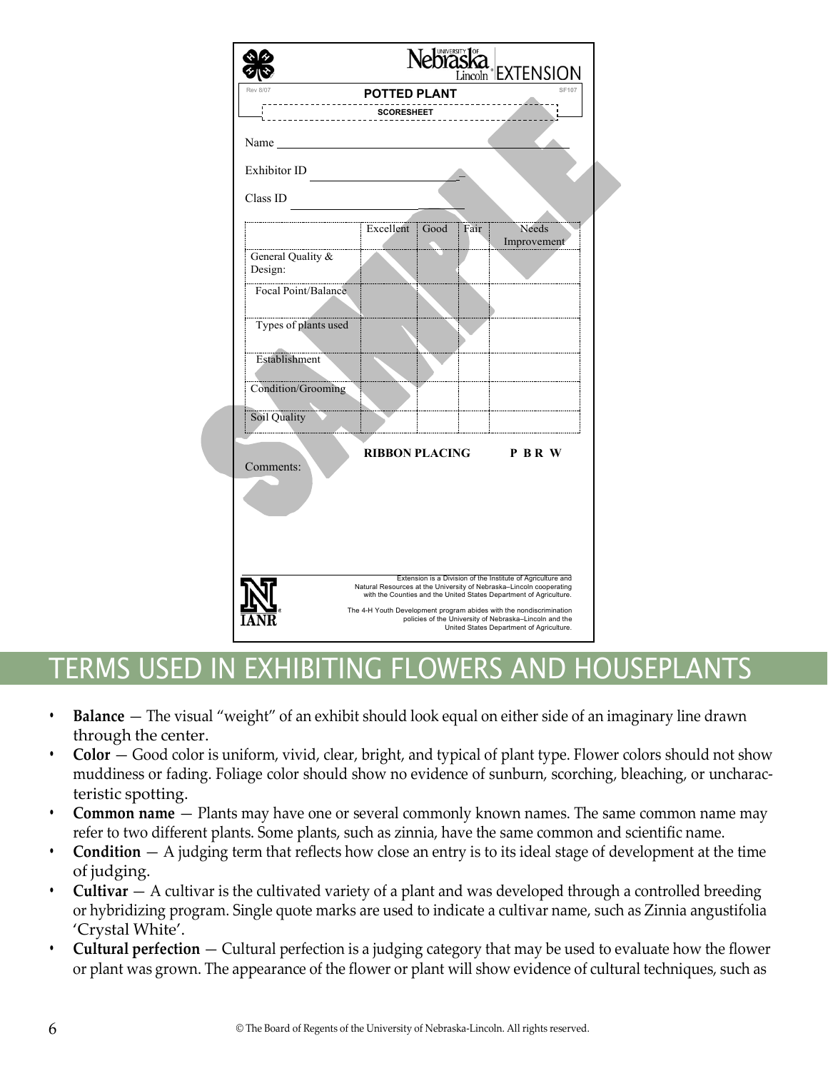|                              |                     |      | $\sum_{\text{Lincoh}}$ EXTENSION                                                                                                                                                                         |
|------------------------------|---------------------|------|----------------------------------------------------------------------------------------------------------------------------------------------------------------------------------------------------------|
| <b>Rev 8/07</b>              | <b>POTTED PLANT</b> |      | <b>SF107</b>                                                                                                                                                                                             |
|                              | <b>SCORESHEET</b>   |      |                                                                                                                                                                                                          |
|                              |                     |      |                                                                                                                                                                                                          |
| Name                         |                     |      |                                                                                                                                                                                                          |
| Exhibitor ID                 |                     |      |                                                                                                                                                                                                          |
| Class ID                     |                     |      |                                                                                                                                                                                                          |
|                              | Excellent Good      | Fair | Needs<br>Improvement                                                                                                                                                                                     |
| General Quality &<br>Design: |                     |      |                                                                                                                                                                                                          |
| Focal Point/Balance          |                     |      |                                                                                                                                                                                                          |
| Types of plants used         |                     |      |                                                                                                                                                                                                          |
| Establishment                |                     |      |                                                                                                                                                                                                          |
| Condition/Grooming           |                     |      |                                                                                                                                                                                                          |
| Soil Quality                 |                     |      |                                                                                                                                                                                                          |
| Comments:                    | n an an an a        |      | RIBBON PLACING P B R W                                                                                                                                                                                   |
|                              |                     |      |                                                                                                                                                                                                          |
|                              |                     |      |                                                                                                                                                                                                          |
|                              |                     |      | Extension is a Division of the Institute of Agriculture and<br>Natural Resources at the University of Nebraska-Lincoln cooperating<br>with the Counties and the United States Department of Agriculture. |
|                              |                     |      | The 4-H Youth Development program abides with the nondiscrimination<br>policies of the University of Nebraska-Lincoln and the<br>United States Department of Agriculture.                                |

### TERMS USED IN EXHIBITING FLOWERS AND HOUSEPLANTS

- **• Balance** The visual "weight" of an exhibit should look equal on either side of an imaginary line drawn through the center.
- **• Color** Good color is uniform, vivid, clear, bright, and typical of plant type. Flower colors should not show muddiness or fading. Foliage color should show no evidence of sunburn, scorching, bleaching, or uncharacteristic spotting.
- **• Common name**  Plants may have one or several commonly known names. The same common name may refer to two different plants. Some plants, such as zinnia, have the same common and scientific name.
- **• Condition**  A judging term that reflects how close an entry is to its ideal stage of development at the time of judging.
- **• Cultivar**  A cultivar is the cultivated variety of a plant and was developed through a controlled breeding or hybridizing program. Single quote marks are used to indicate a cultivar name, such as Zinnia angustifolia 'Crystal White'.
- **• Cultural perfection** Cultural perfection is a judging category that may be used to evaluate how the flower or plant was grown. The appearance of the flower or plant will show evidence of cultural techniques, such as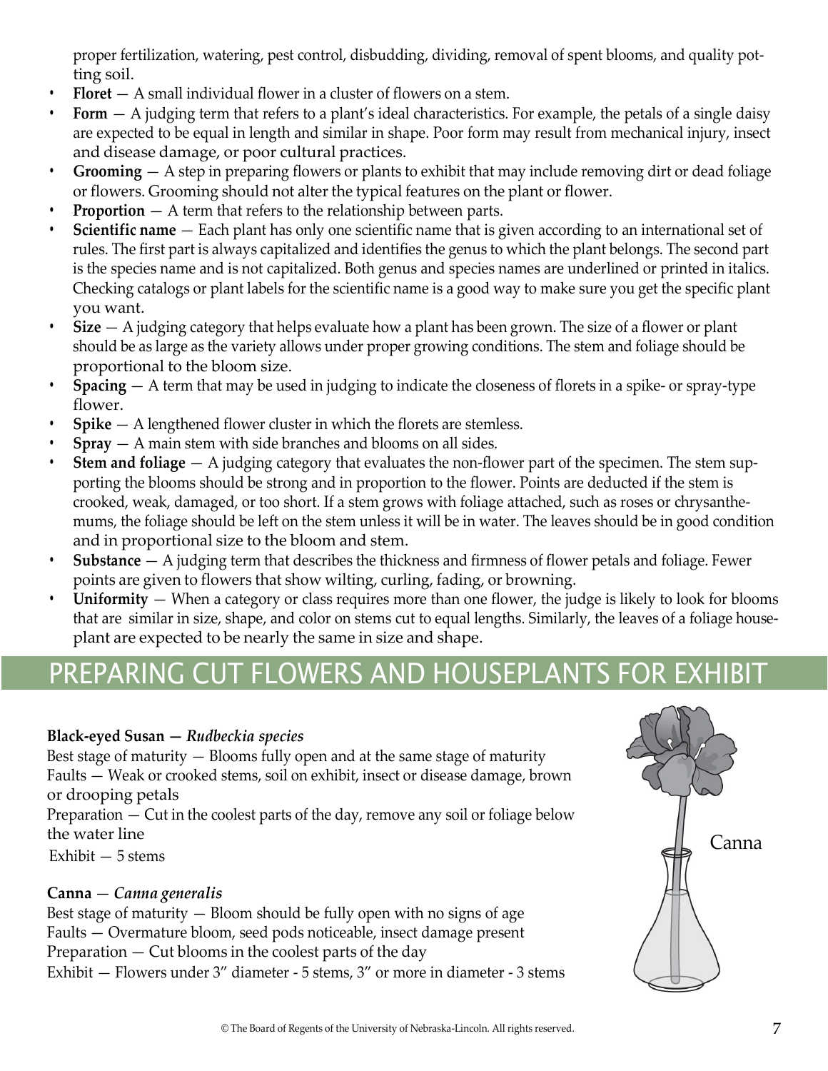proper fertilization, watering, pest control, disbudding, dividing, removal of spent blooms, and quality potting soil.

- **• Floret** A small individual flower in a cluster of flowers on a stem.
- **• Form**  A judging term that refers to a plant's ideal characteristics. For example, the petals of a single daisy are expected to be equal in length and similar in shape. Poor form may result from mechanical injury, insect and disease damage, or poor cultural practices.
- **• Grooming** A step in preparing flowers or plants to exhibit that may include removing dirt or dead foliage or flowers. Grooming should not alter the typical features on the plant or flower.
- **Proportion** A term that refers to the relationship between parts.
- **• Scientific name**  Each plant has only one scientific name that is given according to an international set of rules. The first part is always capitalized and identifies the genus to which the plant belongs. The second part is the species name and is not capitalized. Both genus and species names are underlined or printed in italics. Checking catalogs or plant labels for the scientific name is a good way to make sure you get the specific plant you want.
- **• Size** A judging category that helps evaluate how a plant has been grown. The size of a flower or plant should be as large as the variety allows under proper growing conditions. The stem and foliage should be proportional to the bloom size.
- **• Spacing** A term that may be used in judging to indicate the closeness of florets in a spike- or spray-type flower.
- **• Spike** A lengthened flower cluster in which the florets are stemless.
- **• Spray** A main stem with side branches and blooms on all sides.
- **•• Stem and foliage** A judging category that evaluates the non-flower part of the specimen. The stem supporting the blooms should be strong and in proportion to the flower. Points are deducted if the stem is crooked, weak, damaged, or too short. If a stem grows with foliage attached, such as roses or chrysanthemums, the foliage should be left on the stem unless it will be in water. The leaves should be in good condition and in proportional size to the bloom and stem.
- **• Substance** A judging term that describes the thickness and firmness of flower petals and foliage. Fewer points are given to flowers that show wilting, curling, fading, or browning.
- **• Uniformity**  When a category or class requires more than one flower, the judge is likely to look for blooms that are similar in size, shape, and color on stems cut to equal lengths. Similarly, the leaves of a foliage houseplant are expected to be nearly the same in size and shape.

### <span id="page-6-0"></span>PREPARING CUT FLOWERS AND HOUSEPLANTS FOR EXHIBIT

#### **Black-eyed Susan —** *Rudbeckia species*

Best stage of maturity — Blooms fully open and at the same stage of maturity Faults — Weak or crooked stems, soil on exhibit, insect or disease damage, brown or drooping petals

Preparation — Cut in the coolest parts of the day, remove any soil or foliage below the water line

Exhibit — 5 stems

#### **Canna** — *Canna generalis*

Best stage of maturity — Bloom should be fully open with no signs of age Faults — Overmature bloom, seed pods noticeable, insect damage present Preparation — Cut blooms in the coolest parts of the day Exhibit — Flowers under 3" diameter - 5 stems, 3" or more in diameter - 3 stems

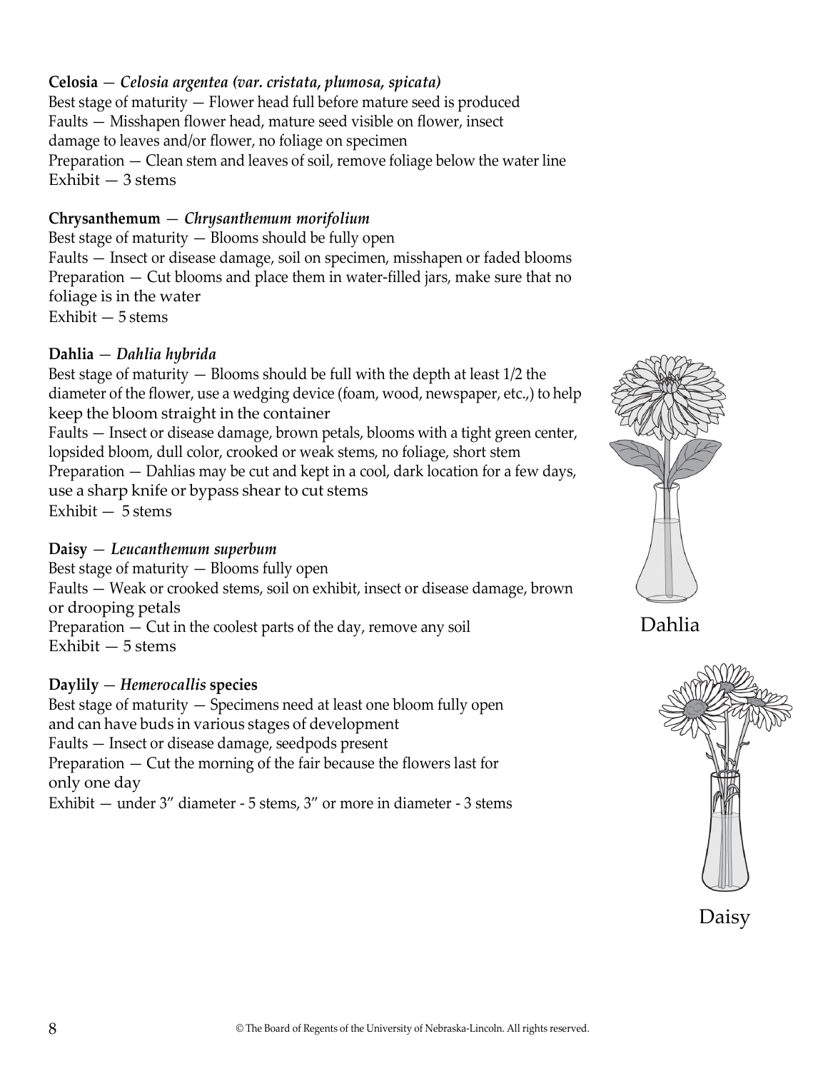#### **Celosia** — *Celosia argentea (var. cristata, plumosa, spicata)*

Best stage of maturity — Flower head full before mature seed is produced Faults — Misshapen flower head, mature seed visible on flower, insect damage to leaves and/or flower, no foliage on specimen Preparation — Clean stem and leaves of soil, remove foliage below the water line Exhibit — 3 stems

#### **Chrysanthemum** — *Chrysanthemum morifolium*

Best stage of maturity — Blooms should be fully open Faults — Insect or disease damage, soil on specimen, misshapen or faded blooms Preparation — Cut blooms and place them in water-filled jars, make sure that no foliage is in the water Exhibit — 5 stems

#### **Dahlia** — *Dahlia hybrida*

Best stage of maturity — Blooms should be full with the depth at least 1/2 the diameter of the flower, use a wedging device (foam, wood, newspaper, etc.,) to help keep the bloom straight in the container Faults — Insect or disease damage, brown petals, blooms with a tight green center, lopsided bloom, dull color, crooked or weak stems, no foliage, short stem Preparation — Dahlias may be cut and kept in a cool, dark location for a few days, use a sharp knife or bypass shear to cut stems Exhibit — 5 stems

#### **Daisy** — *Leucanthemum superbum*

Best stage of maturity — Blooms fully open Faults — Weak or crooked stems, soil on exhibit, insect or disease damage, brown or drooping petals Preparation — Cut in the coolest parts of the day, remove any soil Exhibit — 5 stems

#### **Daylily** — *Hemerocallis* **species**

Best stage of maturity — Specimens need at least one bloom fully open and can have buds in various stages of development Faults — Insect or disease damage, seedpods present Preparation — Cut the morning of the fair because the flowers last for only one day

Exhibit — under 3" diameter - 5 stems, 3" or more in diameter - 3 stems



Dahlia

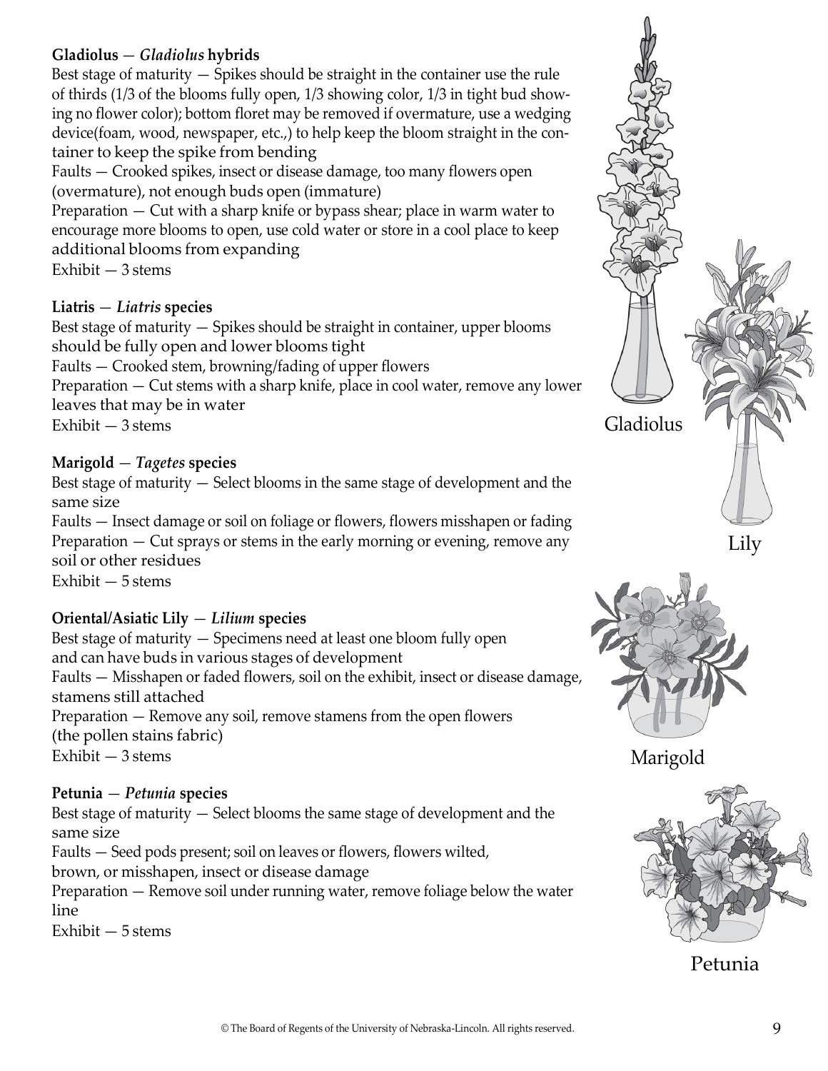#### **Gladiolus** — *Gladiolus* **hybrids**

Best stage of maturity — Spikes should be straight in the container use the rule of thirds (1/3 of the blooms fully open, 1/3 showing color, 1/3 in tight bud showing no flower color); bottom floret may be removed if overmature, use a wedging device(foam, wood, newspaper, etc.,) to help keep the bloom straight in the container to keep the spike from bending

Faults — Crooked spikes, insect or disease damage, too many flowers open (overmature), not enough buds open (immature)

Preparation — Cut with a sharp knife or bypass shear; place in warm water to encourage more blooms to open, use cold water or store in a cool place to keep additional blooms from expanding

Exhibit — 3 stems

#### **Liatris** — *Liatris* **species**

Best stage of maturity — Spikes should be straight in container, upper blooms should be fully open and lower blooms tight Faults — Crooked stem, browning/fading of upper flowers

Preparation — Cut stems with a sharp knife, place in cool water, remove any lower leaves that may be in water

Exhibit — 3 stems

#### **Marigold** — *Tagetes* **species**

Best stage of maturity — Select blooms in the same stage of development and the same size

Faults — Insect damage or soil on foliage or flowers, flowers misshapen or fading Preparation — Cut sprays or stems in the early morning or evening, remove any soil or other residues Exhibit — 5 stems

#### **Oriental/Asiatic Lily** — *Lilium* **species**

Best stage of maturity — Specimens need at least one bloom fully open and can have buds in various stages of development Faults — Misshapen or faded flowers, soil on the exhibit, insect or disease damage, stamens still attached Preparation — Remove any soil, remove stamens from the open flowers (the pollen stains fabric) Exhibit — 3 stems

#### **Petunia** — *Petunia* **species**

Best stage of maturity — Select blooms the same stage of development and the same size

Faults — Seed pods present; soil on leaves or flowers, flowers wilted,

brown, or misshapen, insect or disease damage

Preparation — Remove soil under running water, remove foliage below the water line

Exhibit — 5 stems





Marigold



Petunia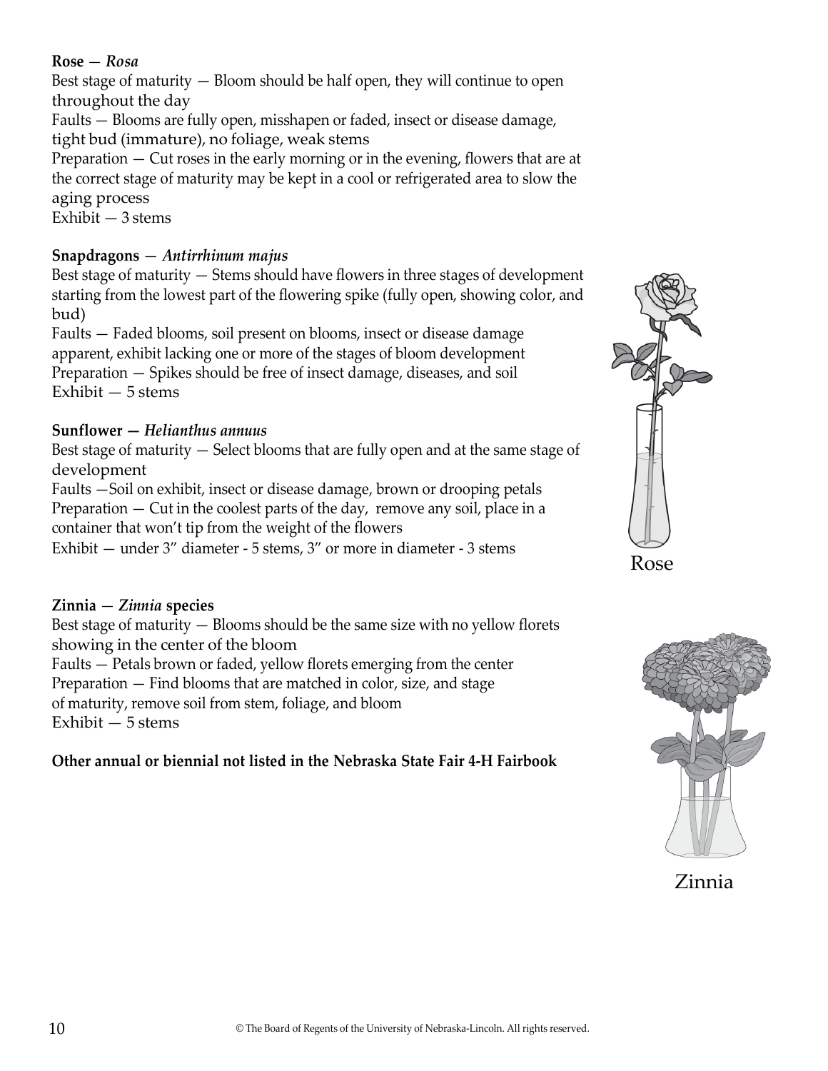#### **Rose** — *Rosa*

Best stage of maturity — Bloom should be half open, they will continue to open throughout the day

Faults — Blooms are fully open, misshapen or faded, insect or disease damage, tight bud (immature), no foliage, weak stems

Preparation — Cut roses in the early morning or in the evening, flowers that are at the correct stage of maturity may be kept in a cool or refrigerated area to slow the aging process

Exhibit — 3 stems

#### **Snapdragons** — *Antirrhinum majus*

Best stage of maturity — Stems should have flowers in three stages of development starting from the lowest part of the flowering spike (fully open, showing color, and bud)

Faults — Faded blooms, soil present on blooms, insect or disease damage apparent, exhibit lacking one or more of the stages of bloom development Preparation — Spikes should be free of insect damage, diseases, and soil Exhibit — 5 stems

#### **Sunflower —** *Helianthus annuus*

Best stage of maturity — Select blooms that are fully open and at the same stage of development

Faults —Soil on exhibit, insect or disease damage, brown or drooping petals Preparation — Cut in the coolest parts of the day, remove any soil, place in a container that won't tip from the weight of the flowers

Exhibit — under 3" diameter - 5 stems, 3" or more in diameter - 3 stems

#### **Zinnia** — *Zinnia* **species**

Best stage of maturity — Blooms should be the same size with no yellow florets showing in the center of the bloom Faults — Petals brown or faded, yellow florets emerging from the center

Preparation — Find blooms that are matched in color, size, and stage of maturity, remove soil from stem, foliage, and bloom

Exhibit — 5 stems

#### **Other annual or biennial not listed in the Nebraska State Fair 4-H Fairbook**





Zinnia